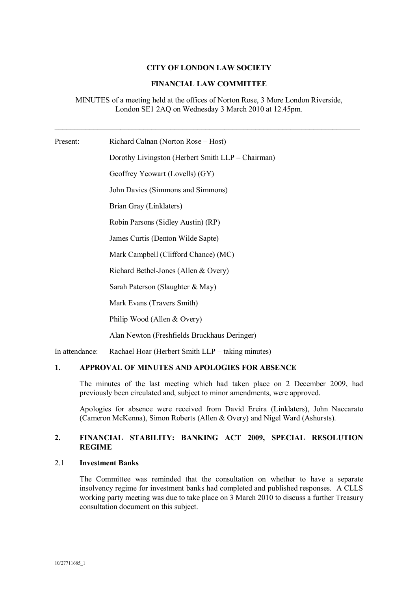## **CITY OF LONDON LAW SOCIETY**

### **FINANCIAL LAW COMMITTEE**

MINUTES of a meeting held at the offices of Norton Rose, 3 More London Riverside, London SE1 2AQ on Wednesday 3 March 2010 at 12.45pm.

Present: Richard Calnan (Norton Rose – Host) Dorothy Livingston (Herbert Smith LLP – Chairman) Geoffrey Yeowart (Lovells) (GY) John Davies (Simmons and Simmons) Brian Gray (Linklaters) Robin Parsons (Sidley Austin) (RP) James Curtis (Denton Wilde Sapte) Mark Campbell (Clifford Chance) (MC)

Richard Bethel-Jones (Allen & Overy)

Sarah Paterson (Slaughter & May)

Mark Evans (Travers Smith)

Philip Wood (Allen & Overy)

Alan Newton (Freshfields Bruckhaus Deringer)

In attendance: Rachael Hoar (Herbert Smith LLP – taking minutes)

#### APPROVAL OF MINUTES AND APOLOGIES FOR ABSENCE 1.

The minutes of the last meeting which had taken place on 2 December 2009, had previously been circulated and, subject to minor amendments, were approved.

Apologies for absence were received from David Ereira (Linklaters), John Naccarato (Cameron McKenna), Simon Roberts (Allen & Overy) and Nigel Ward (Ashursts).

#### FINANCIAL STABILITY: BANKING ACT 2009, SPECIAL RESOLUTION  $2.$ **REGIME**

#### $2.1$ **Investment Banks**

The Committee was reminded that the consultation on whether to have a separate insolvency regime for investment banks had completed and published responses. A CLLS working party meeting was due to take place on 3 March 2010 to discuss a further Treasury consultation document on this subject.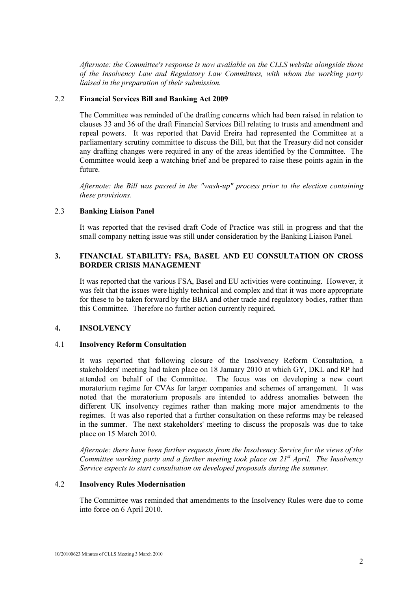*Afternote: the Committee's response is now available on the CLLS website alongside those of the Insolvency Law and Regulatory Law Committees, with whom the working party liaised in the preparation of their submission.* 

### 2.2 **Financial Services Bill and Banking Act 2009**

The Committee was reminded of the drafting concerns which had been raised in relation to clauses 33 and 36 of the draft Financial Services Bill relating to trusts and amendment and repeal powers. It was reported that David Ereira had represented the Committee at a parliamentary scrutiny committee to discuss the Bill, but that the Treasury did not consider any drafting changes were required in any of the areas identified by the Committee. The Committee would keep a watching brief and be prepared to raise these points again in the future.

*Afternote: the Bill was passed in the "wash-up" process prior to the election containing these provisions.* 

# 2.3 **Banking Liaison Panel**

It was reported that the revised draft Code of Practice was still in progress and that the small company netting issue was still under consideration by the Banking Liaison Panel.

# **3. FINANCIAL STABILITY: FSA. BASEL AND EU CONSULTATION ON CROSS BORDER CRISIS MANAGEMENT**

It was reported that the various FSA. Basel and EU activities were continuing. However, it was felt that the issues were highly technical and complex and that it was more appropriate for these to be taken forward by the BBA and other trade and regulatory bodies, rather than this Committee. Therefore no further action currently required.

#### **4. INSOLVENCY**

#### 4.1 **Insolvency Reform Consultation**

It was reported that following closure of the Insolvency Reform Consultation, a stakeholders' meeting had taken place on 18 January 2010 at which GY, DKL and RP had attended on behalf of the Committee. The focus was on developing a new court moratorium regime for CVAs for larger companies and schemes of arrangement. It was noted that the moratorium proposals are intended to address anomalies between the different UK insolvency regimes rather than making more major amendments to the regimes. It was also reported that a further consultation on these reforms may be released in the summer. The next stakeholders' meeting to discuss the proposals was due to take place on 15 March 2010.

*Afternote: there have been further requests from the Insolvency Service for the views of the Committee working party and a further meeting took place on 21<sup><i>st*</sup> April. The Insolvency *Service expects to start consultation on developed proposals during the summer.* 

## 4.2 **Insolvency Rules Modernisation**

The Committee was reminded that amendments to the Insolvency Rules were due to come into force on 6 April 2010.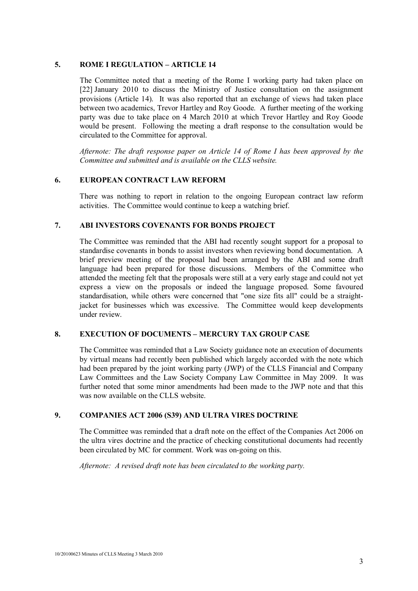#### **5.** ROME I REGULATION – ARTICLE 14

The Committee noted that a meeting of the Rome I working party had taken place on  $[22]$  January 2010 to discuss the Ministry of Justice consultation on the assignment provisions (Article 14). It was also reported that an exchange of views had taken place between two academics, Trevor Hartley and Roy Goode. A further meeting of the working party was due to take place on 4 March 2010 at which Trevor Hartley and Roy Goode would be present. Following the meeting a draft response to the consultation would be circulated to the Committee for approval.

*Afternote: The draft response paper on Article 14 of Rome I has been approved by the Committee and submitted and is available on the CLLS website.* 

#### **6. EUROPEAN CONTRACT LAW REFORM**

There was nothing to report in relation to the ongoing European contract law reform activities. The Committee would continue to keep a watching brief.

#### **7. ABI INVESTORS COVENANTS FOR BONDS PROJECT**

The Committee was reminded that the ABI had recently sought support for a proposal to standardise covenants in bonds to assist investors when reviewing bond documentation. A brief preview meeting of the proposal had been arranged by the ABI and some draft language had been prepared for those discussions. Members of the Committee who attended the meeting felt that the proposals were still at a very early stage and could not yet express a view on the proposals or indeed the language proposed. Some favoured standardisation, while others were concerned that "one size fits all" could be a straightjacket for businesses which was excessive. The Committee would keep developments under review

# 8. EXECUTION OF DOCUMENTS – MERCURY TAX GROUP CASE

The Committee was reminded that a Law Society guidance note an execution of documents by virtual means had recently been published which largely accorded with the note which had been prepared by the joint working party (JWP) of the CLLS Financial and Company Law Committees and the Law Society Company Law Committee in May 2009. It was further noted that some minor amendments had been made to the JWP note and that this was now available on the CLLS website.

#### **9. COMPANIES ACT 2006 (S39) AND ULTRA VIRES DOCTRINE**

The Committee was reminded that a draft note on the effect of the Companies Act 2006 on the ultra vires doctrine and the practice of checking constitutional documents had recently been circulated by MC for comment. Work was on-going on this.

*Afternote: A revised draft note has been circulated to the working party.*